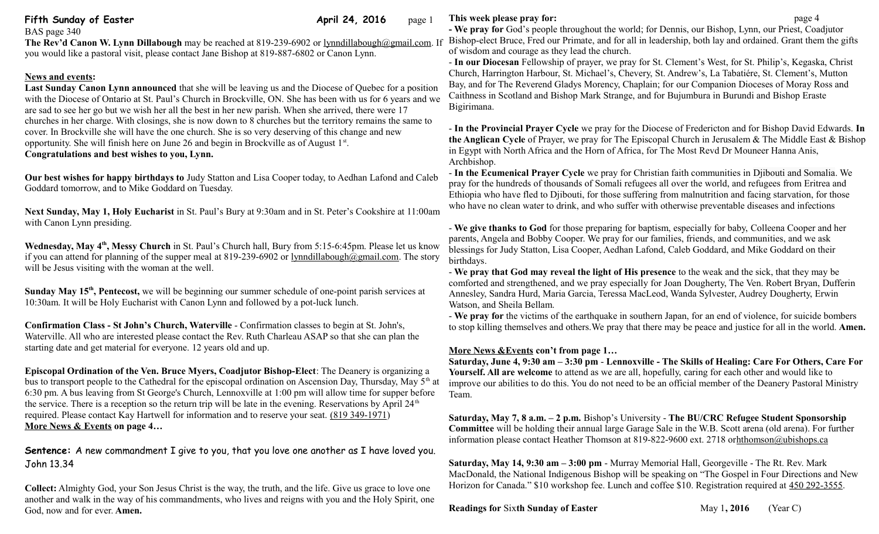# **Fifth Sunday of Easter April 24, 2016** page 1

BAS page 340

**The Rev'd Canon W. Lynn Dillabough** may be reached at 819-239-6902 or [lynndillabough@gmail.com.](mailto:lynndillabough@gmail.com) If you would like a pastoral visit, please contact Jane Bishop at 819-887-6802 or Canon Lynn.

## **News and events:**

**Last Sunday Canon Lynn announced** that she will be leaving us and the Diocese of Quebec for a position with the Diocese of Ontario at St. Paul's Church in Brockville, ON. She has been with us for 6 years and we are sad to see her go but we wish her all the best in her new parish. When she arrived, there were 17 churches in her charge. With closings, she is now down to 8 churches but the territory remains the same to cover. In Brockville she will have the one church. She is so very deserving of this change and new opportunity. She will finish here on June 26 and begin in Brockville as of August 1<sup>st</sup>. **Congratulations and best wishes to you, Lynn.** 

**Our best wishes for happy birthdays to** Judy Statton and Lisa Cooper today, to Aedhan Lafond and Caleb Goddard tomorrow, and to Mike Goddard on Tuesday.

**Next Sunday, May 1, Holy Eucharist** in St. Paul's Bury at 9:30am and in St. Peter's Cookshire at 11:00am with Canon Lynn presiding.

**Wednesday, May 4th, Messy Church** in St. Paul's Church hall, Bury from 5:15-6:45pm. Please let us know if you can attend for planning of the supper meal at 819-239-6902 or [lynndillabough@gmail.com.](mailto:lynndillabough@gmail.com) The story will be Jesus visiting with the woman at the well.

**Sunday May 15th, Pentecost,** we will be beginning our summer schedule of one-point parish services at 10:30am. It will be Holy Eucharist with Canon Lynn and followed by a pot-luck lunch.

**Confirmation Class - St John's Church, Waterville** - Confirmation classes to begin at St. John's, Waterville. All who are interested please contact the Rev. Ruth Charleau ASAP so that she can plan the starting date and get material for everyone. 12 years old and up.

**Episcopal Ordination of the Ven. Bruce Myers, Coadjutor Bishop-Elect**: The Deanery is organizing a bus to transport people to the Cathedral for the episcopal ordination on Ascension Day, Thursday, May  $5<sup>th</sup>$  at 6:30 pm. A bus leaving from St George's Church, Lennoxville at 1:00 pm will allow time for supper before the service. There is a reception so the return trip will be late in the evening. Reservations by April  $24<sup>th</sup>$ required. Please contact Kay Hartwell for information and to reserve your seat. [\(819 349-1971\)](tel:(819%20349-1971) **More News & Events on page 4…**

**Sentence:** A new commandment I give to you, that you love one another as I have loved you. John 13.34

**Collect:** Almighty God, your Son Jesus Christ is the way, the truth, and the life. Give us grace to love one another and walk in the way of his commandments, who lives and reigns with you and the Holy Spirit, one God, now and for ever. **Amen.**

## **This week please pray for:**  $page 4$

**- We pray for** God's people throughout the world; for Dennis, our Bishop, Lynn, our Priest, Coadjutor Bishop-elect Bruce, Fred our Primate, and for all in leadership, both lay and ordained. Grant them the gifts of wisdom and courage as they lead the church.

- **In our Diocesan** Fellowship of prayer, we pray for St. Clement's West, for St. Philip's, Kegaska, Christ Church, Harrington Harbour, St. Michael's, Chevery, St. Andrew's, La Tabatiére, St. Clement's, Mutton Bay, and for The Reverend Gladys Morency, Chaplain; for our Companion Dioceses of Moray Ross and Caithness in Scotland and Bishop Mark Strange, and for Bujumbura in Burundi and Bishop Eraste Bigirimana.

- **In the Provincial Prayer Cycle** we pray for the Diocese of Fredericton and for Bishop David Edwards. **In the Anglican Cycle** of Prayer, we pray for The Episcopal Church in Jerusalem & The Middle East & Bishop in Egypt with North Africa and the Horn of Africa, for The Most Revd Dr Mouneer Hanna Anis, Archbishop.

- **In the Ecumenical Prayer Cycle** we pray for Christian faith communities in Djibouti and Somalia. We pray for the hundreds of thousands of Somali refugees all over the world, and refugees from Eritrea and Ethiopia who have fled to Djibouti, for those suffering from malnutrition and facing starvation, for those who have no clean water to drink, and who suffer with otherwise preventable diseases and infections

- **We give thanks to God** for those preparing for baptism, especially for baby, Colleena Cooper and her parents, Angela and Bobby Cooper. We pray for our families, friends, and communities, and we ask blessings for Judy Statton, Lisa Cooper, Aedhan Lafond, Caleb Goddard, and Mike Goddard on their birthdays.

- **We pray that God may reveal the light of His presence** to the weak and the sick, that they may be comforted and strengthened, and we pray especially for Joan Dougherty, The Ven. Robert Bryan, Dufferin Annesley, Sandra Hurd, Maria Garcia, Teressa MacLeod, Wanda Sylvester, Audrey Dougherty, Erwin Watson, and Sheila Bellam.

- **We pray for** the victims of the earthquake in southern Japan, for an end of violence, for suicide bombers to stop killing themselves and others.We pray that there may be peace and justice for all in the world. **Amen.**

#### **More News &Events con't from page 1…**

**Saturday, June 4, 9:30 am – 3:30 pm** - **Lennoxville - The Skills of Healing: Care For Others, Care For Yourself. All are welcome** to attend as we are all, hopefully, caring for each other and would like to improve our abilities to do this. You do not need to be an official member of the Deanery Pastoral Ministry Team.

**Saturday, May 7, 8 a.m. – 2 p.m.** Bishop's University - **The BU/CRC Refugee Student Sponsorship Committee** will be holding their annual large Garage Sale in the W.B. Scott arena (old arena). For further information please contact Heather Thomson at 819-822-9600 ext. 2718 o[rhthomson@ubishops.ca](https://webmail.ubishops.ca/owa/redir.aspx?REF=FLnmocQHos1aSS6_izloWzXz-vn948huD0NonW8iwmC1KgSOCljTCAFtYWlsdG86aHRob21zb25AdWJpc2hvcHMuY2E.) 

**Saturday, May 14, 9:30 am – 3:00 pm** - Murray Memorial Hall, Georgeville - The Rt. Rev. Mark MacDonald, the National Indigenous Bishop will be speaking on "The Gospel in Four Directions and New Horizon for Canada." \$10 workshop fee. Lunch and coffee \$10. Registration required at [450 292-3555.](tel:450%20292-3555)

#### **Readings for Sixth Sunday of Easter** May 1, 2016 (Year C)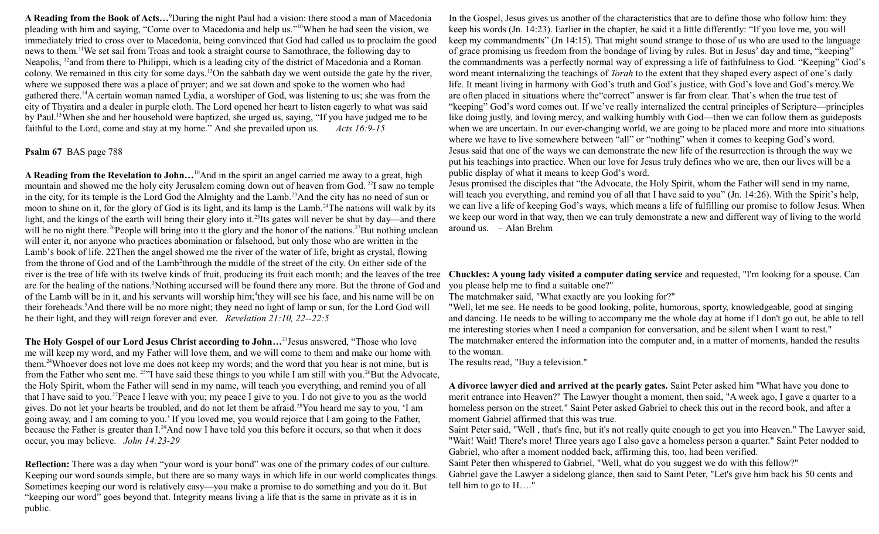**A Reading from the Book of Acts…**<sup>9</sup>During the night Paul had a vision: there stood a man of Macedonia pleading with him and saying, "Come over to Macedonia and help us."<sup>10</sup>When he had seen the vision, we immediately tried to cross over to Macedonia, being convinced that God had called us to proclaim the good news to them.<sup>11</sup>We set sail from Troas and took a straight course to Samothrace, the following day to Neapolis, <sup>12</sup>and from there to Philippi, which is a leading city of the district of Macedonia and a Roman colony. We remained in this city for some days.<sup>13</sup>On the sabbath day we went outside the gate by the river, where we supposed there was a place of prayer; and we sat down and spoke to the women who had gathered there.<sup>14</sup>A certain woman named Lydia, a worshiper of God, was listening to us; she was from the city of Thyatira and a dealer in purple cloth. The Lord opened her heart to listen eagerly to what was said by Paul.<sup>15</sup>When she and her household were baptized, she urged us, saying, "If you have judged me to be faithful to the Lord, come and stay at my home." And she prevailed upon us. *Acts 16:9-15* 

#### **Psalm 67** BAS page 788

**A Reading from the Revelation to John…**<sup>10</sup>And in the spirit an angel carried me away to a great, high mountain and showed me the holy city Jerusalem coming down out of heaven from God.<sup>22</sup>I saw no temple in the city, for its temple is the Lord God the Almighty and the Lamb.<sup>23</sup>And the city has no need of sun or moon to shine on it, for the glory of God is its light, and its lamp is the Lamb.<sup>24</sup>The nations will walk by its light, and the kings of the earth will bring their glory into it.<sup>25</sup>Its gates will never be shut by day—and there will be no night there.<sup>26</sup>People will bring into it the glory and the honor of the nations.<sup>27</sup>But nothing unclean will enter it, nor anyone who practices abomination or falsehood, but only those who are written in the Lamb's book of life. 22Then the angel showed me the river of the water of life, bright as crystal, flowing from the throne of God and of the Lamb<sup>2</sup>through the middle of the street of the city. On either side of the river is the tree of life with its twelve kinds of fruit, producing its fruit each month; and the leaves of the tree Chuckles: A young lady visited a computer dating service and requested, "I'm looking for a spouse. Can are for the healing of the nations.<sup>3</sup>Nothing accursed will be found there any more. But the throne of God and of the Lamb will be in it, and his servants will worship him;<sup>4</sup>they will see his face, and his name will be on their foreheads.<sup>5</sup>And there will be no more night; they need no light of lamp or sun, for the Lord God will be their light, and they will reign forever and ever. *Revelation 21:10, 22--22:5*

**The Holy Gospel of our Lord Jesus Christ according to John…**<sup>23</sup>Jesus answered, "Those who love me will keep my word, and my Father will love them, and we will come to them and make our home with them.<sup>24</sup>Whoever does not love me does not keep my words; and the word that you hear is not mine, but is from the Father who sent me. <sup>25</sup>"I have said these things to you while I am still with you.<sup>26</sup>But the Advocate, the Holy Spirit, whom the Father will send in my name, will teach you everything, and remind you of all that I have said to you.<sup>27</sup>Peace I leave with you; my peace I give to you. I do not give to you as the world gives. Do not let your hearts be troubled, and do not let them be afraid.<sup>28</sup>You heard me say to you, 'I am going away, and I am coming to you.' If you loved me, you would rejoice that I am going to the Father, because the Father is greater than I.<sup>29</sup>And now I have told you this before it occurs, so that when it does occur, you may believe. *John 14:23-29*

**Reflection:** There was a day when "your word is your bond" was one of the primary codes of our culture. Keeping our word sounds simple, but there are so many ways in which life in our world complicates things. Sometimes keeping our word is relatively easy—you make a promise to do something and you do it. But "keeping our word" goes beyond that. Integrity means living a life that is the same in private as it is in public.

In the Gospel, Jesus gives us another of the characteristics that are to define those who follow him: they keep his words (Jn. 14:23). Earlier in the chapter, he said it a little differently: "If you love me, you will keep my commandments" (Jn 14:15). That might sound strange to those of us who are used to the language of grace promising us freedom from the bondage of living by rules. But in Jesus' day and time, "keeping" the commandments was a perfectly normal way of expressing a life of faithfulness to God. "Keeping" God's word meant internalizing the teachings of *Torah* to the extent that they shaped every aspect of one's daily life. It meant living in harmony with God's truth and God's justice, with God's love and God's mercy.We are often placed in situations where the"correct" answer is far from clear. That's when the true test of "keeping" God's word comes out. If we've really internalized the central principles of Scripture—principles like doing justly, and loving mercy, and walking humbly with God—then we can follow them as guideposts when we are uncertain. In our ever-changing world, we are going to be placed more and more into situations where we have to live somewhere between "all" or "nothing" when it comes to keeping God's word. Jesus said that one of the ways we can demonstrate the new life of the resurrection is through the way we put his teachings into practice. When our love for Jesus truly defines who we are, then our lives will be a public display of what it means to keep God's word.

Jesus promised the disciples that "the Advocate, the Holy Spirit, whom the Father will send in my name, will teach you everything, and remind you of all that I have said to you" (Jn. 14:26). With the Spirit's help, we can live a life of keeping God's ways, which means a life of fulfilling our promise to follow Jesus. When we keep our word in that way, then we can truly demonstrate a new and different way of living to the world around us.– Alan Brehm

you please help me to find a suitable one?"

The matchmaker said, "What exactly are you looking for?"

"Well, let me see. He needs to be good looking, polite, humorous, sporty, knowledgeable, good at singing and dancing. He needs to be willing to accompany me the whole day at home if I don't go out, be able to tell me interesting stories when I need a companion for conversation, and be silent when I want to rest." The matchmaker entered the information into the computer and, in a matter of moments, handed the results to the woman.

The results read, "Buy a television."

**A divorce lawyer died and arrived at the pearly gates.** Saint Peter asked him "What have you done to merit entrance into Heaven?" The Lawyer thought a moment, then said, "A week ago, I gave a quarter to a homeless person on the street." Saint Peter asked Gabriel to check this out in the record book, and after a moment Gabriel affirmed that this was true.

Saint Peter said, "Well , that's fine, but it's not really quite enough to get you into Heaven." The Lawyer said, "Wait! Wait! There's more! Three years ago I also gave a homeless person a quarter." Saint Peter nodded to Gabriel, who after a moment nodded back, affirming this, too, had been verified.

Saint Peter then whispered to Gabriel, "Well, what do you suggest we do with this fellow?" Gabriel gave the Lawyer a sidelong glance, then said to Saint Peter, "Let's give him back his 50 cents and tell him to go to H…."